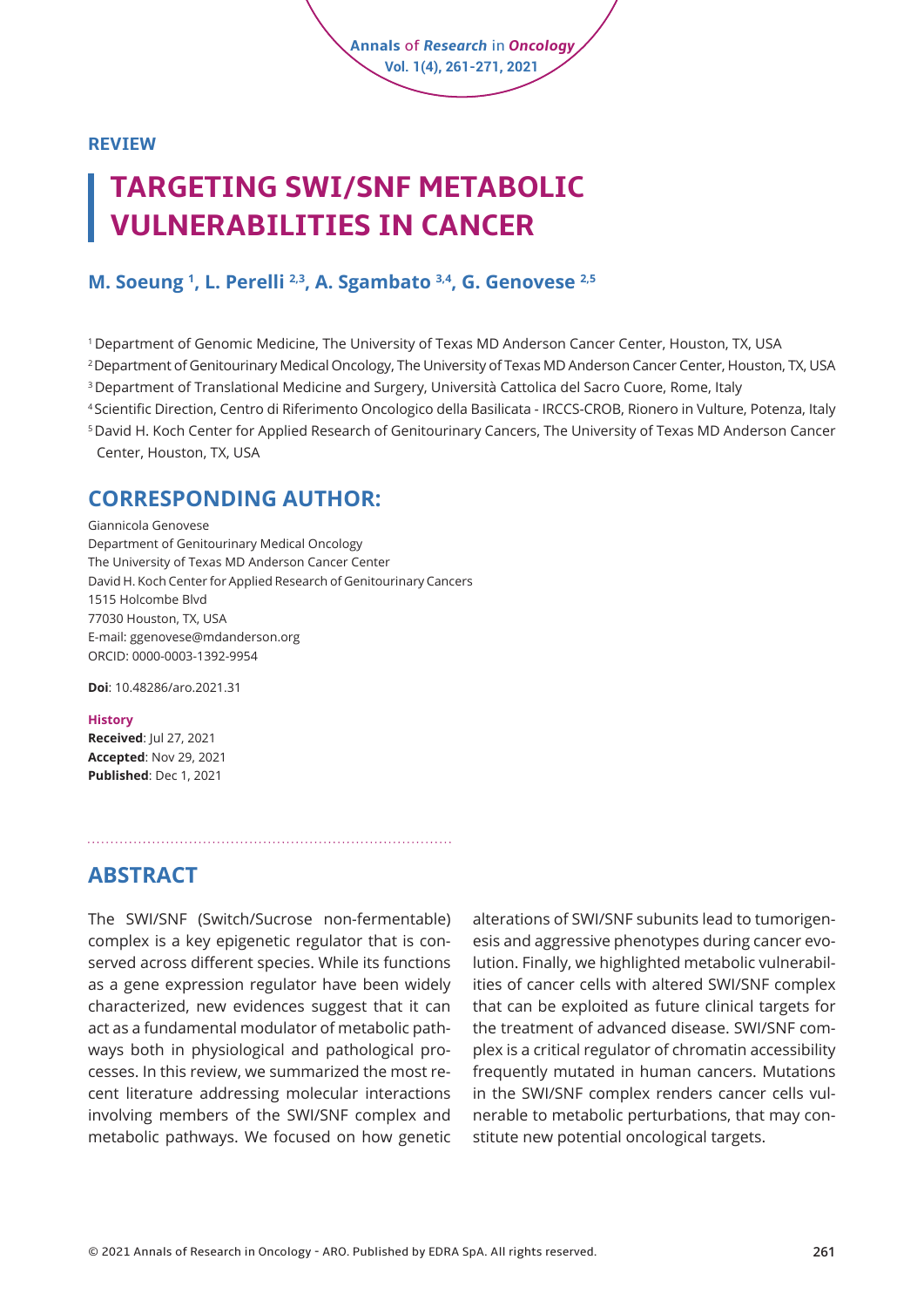**REVIEW**

# **TARGETING SWI/SNF METABOLIC VULNERABILITIES IN CANCER**

#### **M. Soeung 1 , L. Perelli 2,3, A. Sgambato 3,4, G. Genovese 2,5**

1 Department of Genomic Medicine, The University of Texas MD Anderson Cancer Center, Houston, TX, USA

2 Department of Genitourinary Medical Oncology, The University of Texas MD Anderson Cancer Center, Houston, TX, USA

**Annals** of *Research* in *Oncology* **Vol. 1(4), 261-271, 2021**

3 Department of Translational Medicine and Surgery, Università Cattolica del Sacro Cuore, Rome, Italy

<sup>4</sup>Scientific Direction, Centro di Riferimento Oncologico della Basilicata - IRCCS-CROB, Rionero in Vulture, Potenza, Italy

5 David H. Koch Center for Applied Research of Genitourinary Cancers, The University of Texas MD Anderson Cancer Center, Houston, TX, USA

#### **CORRESPONDING AUTHOR:**

Giannicola Genovese Department of Genitourinary Medical Oncology The University of Texas MD Anderson Cancer Center David H. Koch Center for Applied Research of Genitourinary Cancers 1515 Holcombe Blvd 77030 Houston, TX, USA E-mail: ggenovese@mdanderson.org ORCID: [0000-0003-1392-9954](https://orcid.org/0000-0001-5041-9465)

**Doi**: [10.48286/aro.2021.31](https://www.annals-research-oncology.com/targeting-swi-snf-metabolic-vulnerabilities-in-cancer/)

#### **History**

**Received**: Jul 27, 2021 **Accepted**: Nov 29, 2021 **Published**: Dec 1, 2021

### **ABSTRACT**

The SWI/SNF (Switch/Sucrose non-fermentable) complex is a key epigenetic regulator that is conserved across different species. While its functions as a gene expression regulator have been widely characterized, new evidences suggest that it can act as a fundamental modulator of metabolic pathways both in physiological and pathological processes. In this review, we summarized the most recent literature addressing molecular interactions involving members of the SWI/SNF complex and metabolic pathways. We focused on how genetic

alterations of SWI/SNF subunits lead to tumorigenesis and aggressive phenotypes during cancer evolution. Finally, we highlighted metabolic vulnerabilities of cancer cells with altered SWI/SNF complex that can be exploited as future clinical targets for the treatment of advanced disease. SWI/SNF complex is a critical regulator of chromatin accessibility frequently mutated in human cancers. Mutations in the SWI/SNF complex renders cancer cells vulnerable to metabolic perturbations, that may constitute new potential oncological targets.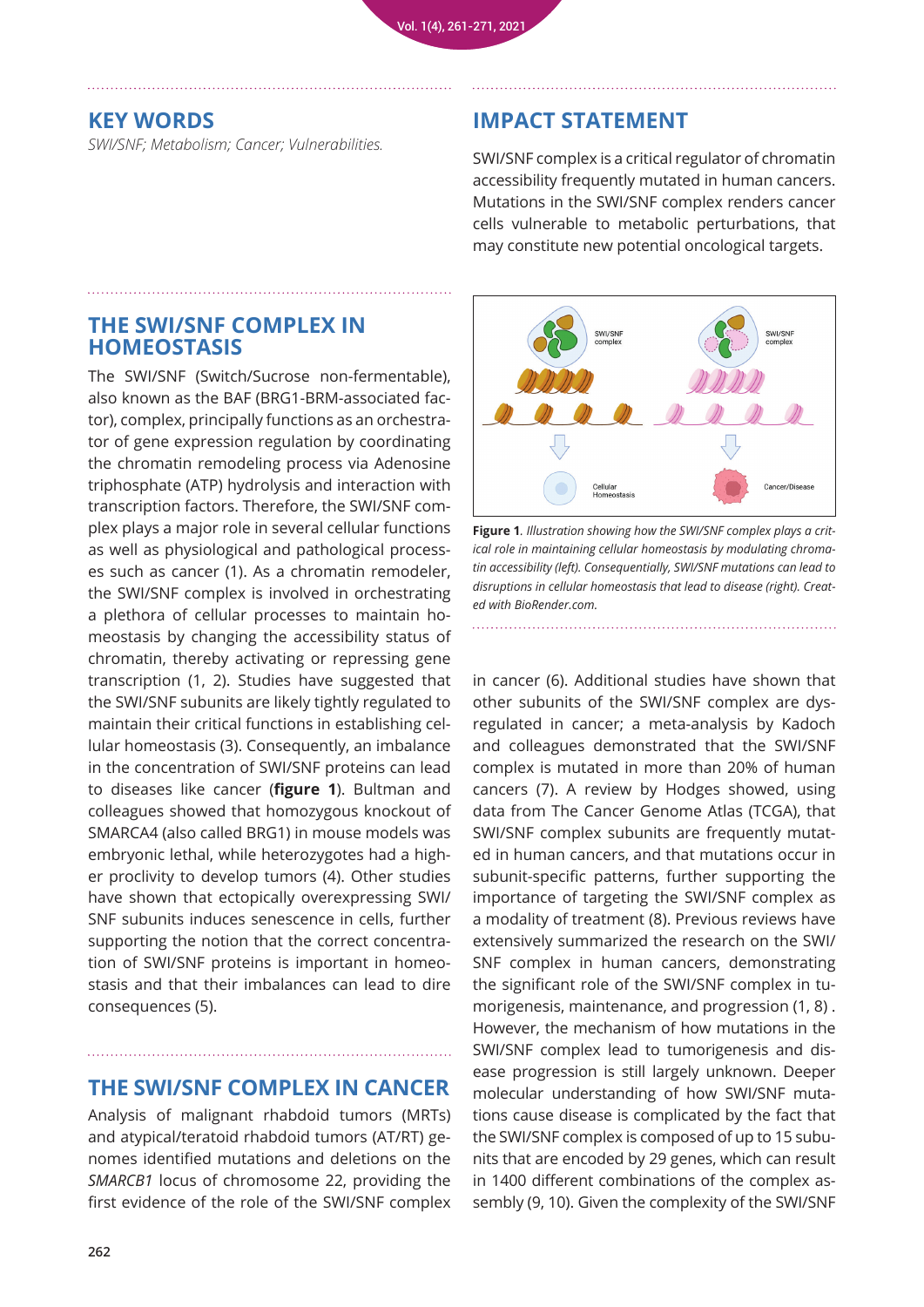#### **KEY WORDS**

*SWI/SNF; Metabolism; Cancer; Vulnerabilities.*

#### **IMPACT STATEMENT**

SWI/SNF complex is a critical regulator of chromatin accessibility frequently mutated in human cancers. Mutations in the SWI/SNF complex renders cancer cells vulnerable to metabolic perturbations, that may constitute new potential oncological targets.

#### **THE SWI/SNF COMPLEX IN HOMEOSTASIS**

The SWI/SNF (Switch/Sucrose non-fermentable), also known as the BAF (BRG1-BRM-associated factor), complex, principally functions as an orchestrator of gene expression regulation by coordinating the chromatin remodeling process via Adenosine triphosphate (ATP) hydrolysis and interaction with transcription factors. Therefore, the SWI/SNF complex plays a major role in several cellular functions as well as physiological and pathological processes such as cancer (1). As a chromatin remodeler, the SWI/SNF complex is involved in orchestrating a plethora of cellular processes to maintain homeostasis by changing the accessibility status of chromatin, thereby activating or repressing gene transcription (1, 2). Studies have suggested that the SWI/SNF subunits are likely tightly regulated to maintain their critical functions in establishing cellular homeostasis (3). Consequently, an imbalance in the concentration of SWI/SNF proteins can lead to diseases like cancer (**figure 1**). Bultman and colleagues showed that homozygous knockout of SMARCA4 (also called BRG1) in mouse models was embryonic lethal, while heterozygotes had a higher proclivity to develop tumors (4). Other studies have shown that ectopically overexpressing SWI/ SNF subunits induces senescence in cells, further supporting the notion that the correct concentration of SWI/SNF proteins is important in homeostasis and that their imbalances can lead to dire consequences (5).

#### **THE SWI/SNF COMPLEX IN CANCER**

Analysis of malignant rhabdoid tumors (MRTs) and atypical/teratoid rhabdoid tumors (AT/RT) genomes identified mutations and deletions on the *SMARCB1* locus of chromosome 22, providing the first evidence of the role of the SWI/SNF complex



**Figure 1***. Illustration showing how the SWI/SNF complex plays a critical role in maintaining cellular homeostasis by modulating chromatin accessibility (left). Consequentially, SWI/SNF mutations can lead to disruptions in cellular homeostasis that lead to disease (right). Created with BioRender.com.*

in cancer (6). Additional studies have shown that other subunits of the SWI/SNF complex are dysregulated in cancer; a meta-analysis by Kadoch and colleagues demonstrated that the SWI/SNF complex is mutated in more than 20% of human cancers (7). A review by Hodges showed, using data from The Cancer Genome Atlas (TCGA), that SWI/SNF complex subunits are frequently mutated in human cancers, and that mutations occur in subunit-specific patterns, further supporting the importance of targeting the SWI/SNF complex as a modality of treatment (8). Previous reviews have extensively summarized the research on the SWI/ SNF complex in human cancers, demonstrating the significant role of the SWI/SNF complex in tumorigenesis, maintenance, and progression (1, 8) . However, the mechanism of how mutations in the SWI/SNF complex lead to tumorigenesis and disease progression is still largely unknown. Deeper molecular understanding of how SWI/SNF mutations cause disease is complicated by the fact that the SWI/SNF complex is composed of up to 15 subunits that are encoded by 29 genes, which can result in 1400 different combinations of the complex assembly (9, 10). Given the complexity of the SWI/SNF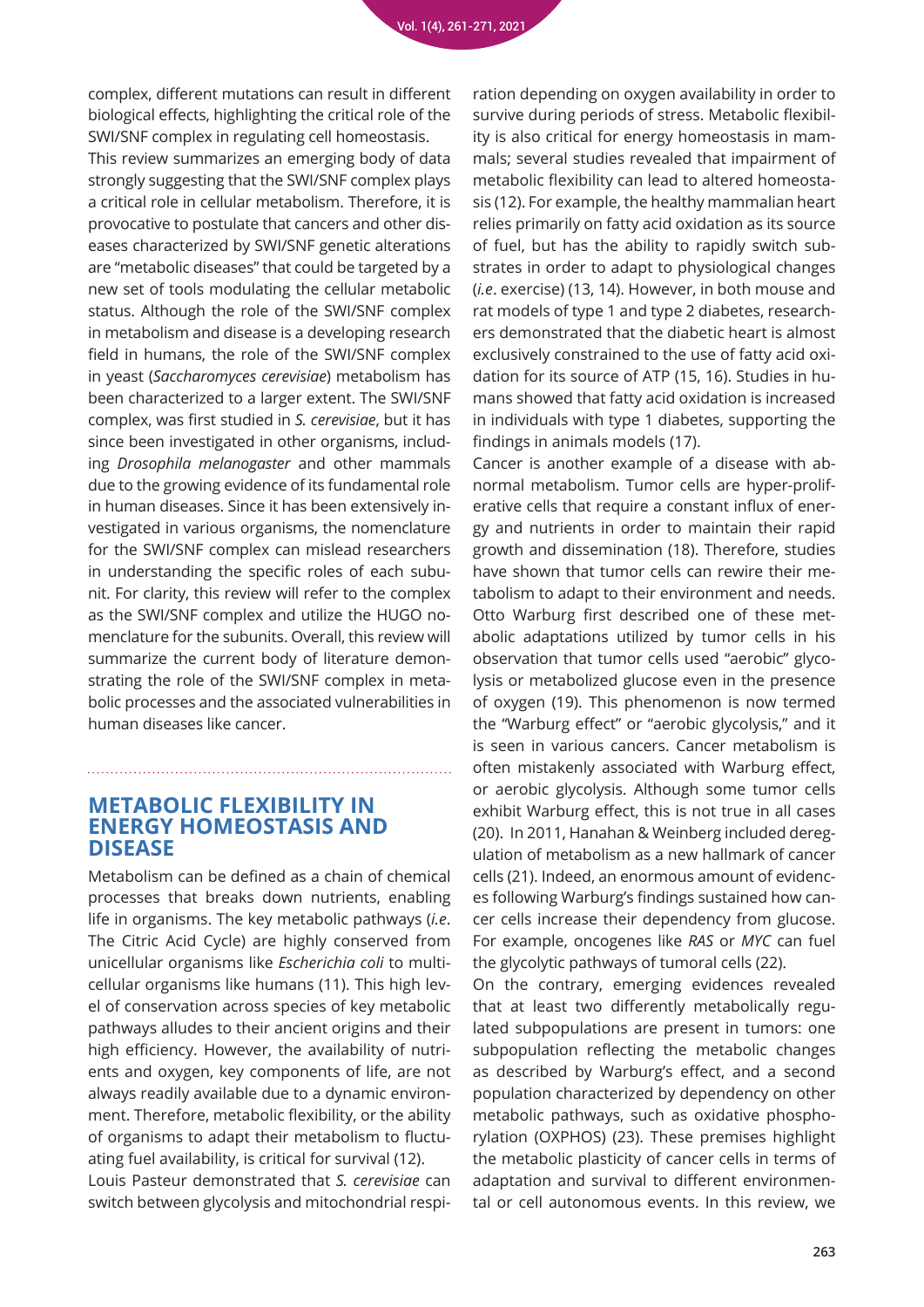complex, different mutations can result in different biological effects, highlighting the critical role of the SWI/SNF complex in regulating cell homeostasis.

This review summarizes an emerging body of data strongly suggesting that the SWI/SNF complex plays a critical role in cellular metabolism. Therefore, it is provocative to postulate that cancers and other diseases characterized by SWI/SNF genetic alterations are "metabolic diseases" that could be targeted by a new set of tools modulating the cellular metabolic status. Although the role of the SWI/SNF complex in metabolism and disease is a developing research field in humans, the role of the SWI/SNF complex in yeast (*Saccharomyces cerevisiae*) metabolism has been characterized to a larger extent. The SWI/SNF complex, was first studied in *S. cerevisiae*, but it has since been investigated in other organisms, including *Drosophila melanogaster* and other mammals due to the growing evidence of its fundamental role in human diseases. Since it has been extensively investigated in various organisms, the nomenclature for the SWI/SNF complex can mislead researchers in understanding the specific roles of each subunit. For clarity, this review will refer to the complex as the SWI/SNF complex and utilize the HUGO nomenclature for the subunits. Overall, this review will summarize the current body of literature demonstrating the role of the SWI/SNF complex in metabolic processes and the associated vulnerabilities in human diseases like cancer.

#### **METABOLIC FLEXIBILITY IN ENERGY HOMEOSTASIS AND DISEASE**

Metabolism can be defined as a chain of chemical processes that breaks down nutrients, enabling life in organisms. The key metabolic pathways (*i.e*. The Citric Acid Cycle) are highly conserved from unicellular organisms like *Escherichia coli* to multicellular organisms like humans (11). This high level of conservation across species of key metabolic pathways alludes to their ancient origins and their high efficiency. However, the availability of nutrients and oxygen, key components of life, are not always readily available due to a dynamic environment. Therefore, metabolic flexibility, or the ability of organisms to adapt their metabolism to fluctuating fuel availability, is critical for survival (12).

Louis Pasteur demonstrated that *S. cerevisiae* can switch between glycolysis and mitochondrial respi-

ration depending on oxygen availability in order to survive during periods of stress. Metabolic flexibility is also critical for energy homeostasis in mammals; several studies revealed that impairment of metabolic flexibility can lead to altered homeostasis (12). For example, the healthy mammalian heart relies primarily on fatty acid oxidation as its source of fuel, but has the ability to rapidly switch substrates in order to adapt to physiological changes (*i.e*. exercise) (13, 14). However, in both mouse and rat models of type 1 and type 2 diabetes, researchers demonstrated that the diabetic heart is almost exclusively constrained to the use of fatty acid oxidation for its source of ATP (15, 16). Studies in humans showed that fatty acid oxidation is increased in individuals with type 1 diabetes, supporting the findings in animals models (17).

Cancer is another example of a disease with abnormal metabolism. Tumor cells are hyper-proliferative cells that require a constant influx of energy and nutrients in order to maintain their rapid growth and dissemination (18). Therefore, studies have shown that tumor cells can rewire their metabolism to adapt to their environment and needs. Otto Warburg first described one of these metabolic adaptations utilized by tumor cells in his observation that tumor cells used "aerobic" glycolysis or metabolized glucose even in the presence of oxygen (19). This phenomenon is now termed the "Warburg effect" or "aerobic glycolysis," and it is seen in various cancers. Cancer metabolism is often mistakenly associated with Warburg effect, or aerobic glycolysis. Although some tumor cells exhibit Warburg effect, this is not true in all cases (20). In 2011, Hanahan & Weinberg included deregulation of metabolism as a new hallmark of cancer cells (21). Indeed, an enormous amount of evidences following Warburg's findings sustained how cancer cells increase their dependency from glucose. For example, oncogenes like *RAS* or *MYC* can fuel the glycolytic pathways of tumoral cells (22).

On the contrary, emerging evidences revealed that at least two differently metabolically regulated subpopulations are present in tumors: one subpopulation reflecting the metabolic changes as described by Warburg's effect, and a second population characterized by dependency on other metabolic pathways, such as oxidative phosphorylation (OXPHOS) (23). These premises highlight the metabolic plasticity of cancer cells in terms of adaptation and survival to different environmental or cell autonomous events. In this review, we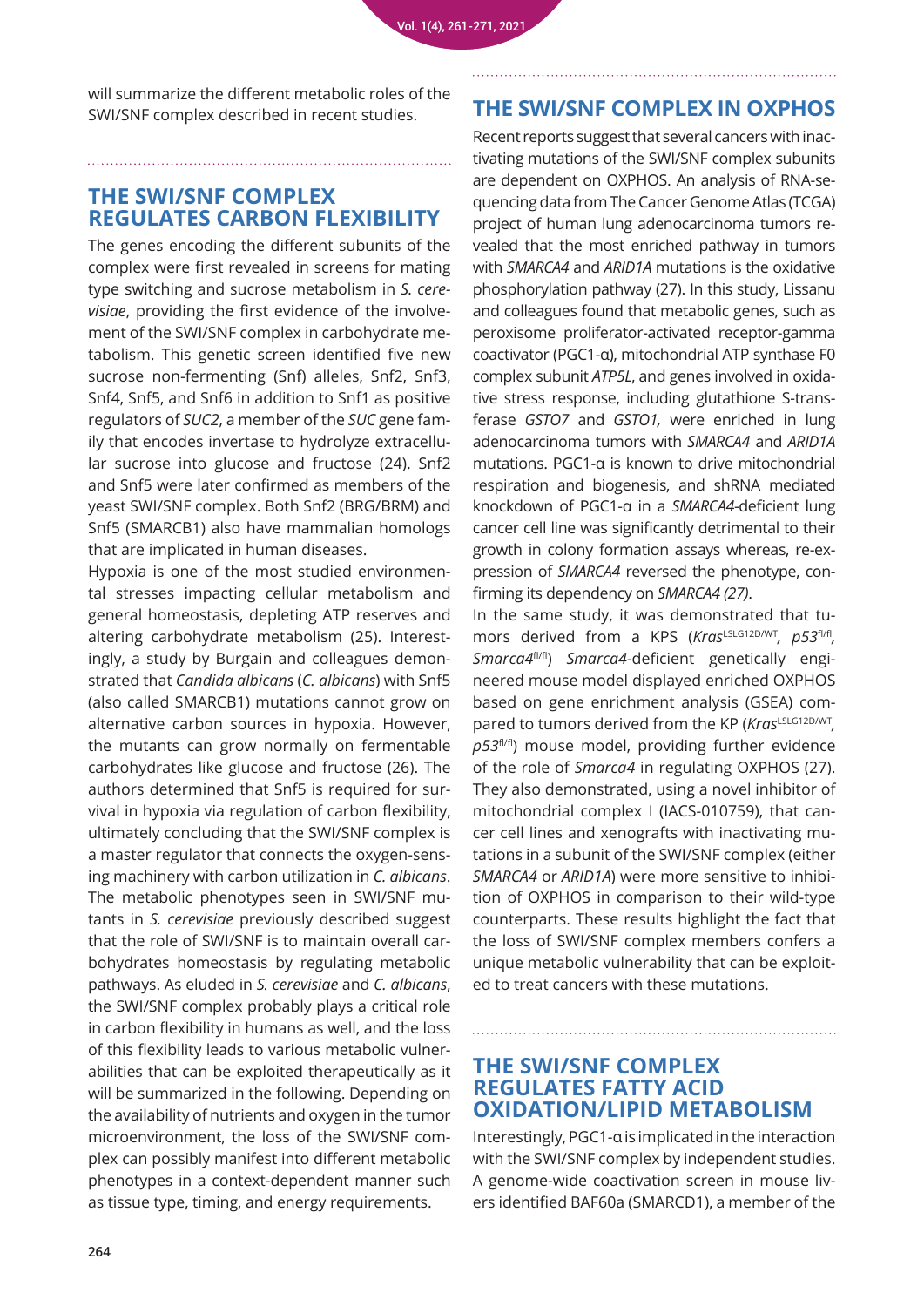will summarize the different metabolic roles of the SWI/SNF complex described in recent studies.

#### **THE SWI/SNF COMPLEX REGULATES CARBON FLEXIBILITY**

The genes encoding the different subunits of the complex were first revealed in screens for mating type switching and sucrose metabolism in *S. cerevisiae*, providing the first evidence of the involvement of the SWI/SNF complex in carbohydrate metabolism. This genetic screen identified five new sucrose non-fermenting (Snf) alleles, Snf2, Snf3, Snf4, Snf5, and Snf6 in addition to Snf1 as positive regulators of *SUC2*, a member of the *SUC* gene family that encodes invertase to hydrolyze extracellular sucrose into glucose and fructose (24). Snf2 and Snf5 were later confirmed as members of the yeast SWI/SNF complex. Both Snf2 (BRG/BRM) and Snf5 (SMARCB1) also have mammalian homologs that are implicated in human diseases.

Hypoxia is one of the most studied environmental stresses impacting cellular metabolism and general homeostasis, depleting ATP reserves and altering carbohydrate metabolism (25). Interestingly, a study by Burgain and colleagues demonstrated that *Candida albicans* (*C. albicans*) with Snf5 (also called SMARCB1) mutations cannot grow on alternative carbon sources in hypoxia. However, the mutants can grow normally on fermentable carbohydrates like glucose and fructose (26). The authors determined that Snf5 is required for survival in hypoxia via regulation of carbon flexibility, ultimately concluding that the SWI/SNF complex is a master regulator that connects the oxygen-sensing machinery with carbon utilization in *C. albicans*. The metabolic phenotypes seen in SWI/SNF mutants in *S. cerevisiae* previously described suggest that the role of SWI/SNF is to maintain overall carbohydrates homeostasis by regulating metabolic pathways. As eluded in *S. cerevisiae* and *C. albicans*, the SWI/SNF complex probably plays a critical role in carbon flexibility in humans as well, and the loss of this flexibility leads to various metabolic vulnerabilities that can be exploited therapeutically as it will be summarized in the following. Depending on the availability of nutrients and oxygen in the tumor microenvironment, the loss of the SWI/SNF complex can possibly manifest into different metabolic phenotypes in a context-dependent manner such as tissue type, timing, and energy requirements.

#### **THE SWI/SNF COMPLEX IN OXPHOS**

Recent reports suggest that several cancers with inactivating mutations of the SWI/SNF complex subunits are dependent on OXPHOS. An analysis of RNA-sequencing data from The Cancer Genome Atlas (TCGA) project of human lung adenocarcinoma tumors revealed that the most enriched pathway in tumors with *SMARCA4* and *ARID1A* mutations is the oxidative phosphorylation pathway (27). In this study, Lissanu and colleagues found that metabolic genes, such as peroxisome proliferator-activated receptor-gamma coactivator (PGC1-α), mitochondrial ATP synthase F0 complex subunit *ATP5L*, and genes involved in oxidative stress response, including glutathione S-transferase *GSTO7* and *GSTO1,* were enriched in lung adenocarcinoma tumors with *SMARCA4* and *ARID1A* mutations. PGC1-α is known to drive mitochondrial respiration and biogenesis, and shRNA mediated knockdown of PGC1-α in a *SMARCA4*-deficient lung cancer cell line was significantly detrimental to their growth in colony formation assays whereas, re-expression of *SMARCA4* reversed the phenotype, confirming its dependency on *SMARCA4 (27)*.

In the same study, it was demonstrated that tumors derived from a KPS (*Kras*<sup>LSLG12D/WT</sup>, p53<sup>fl/fl</sup>, *Smarca4*fl/fl) *Smarca4*-deficient genetically engineered mouse model displayed enriched OXPHOS based on gene enrichment analysis (GSEA) compared to tumors derived from the KP (*Kras*LSLG12D/WT, p53<sup>fl/fl</sup>) mouse model, providing further evidence of the role of *Smarca4* in regulating OXPHOS (27). They also demonstrated, using a novel inhibitor of mitochondrial complex I (IACS-010759), that cancer cell lines and xenografts with inactivating mutations in a subunit of the SWI/SNF complex (either *SMARCA4* or *ARID1A*) were more sensitive to inhibition of OXPHOS in comparison to their wild-type counterparts. These results highlight the fact that the loss of SWI/SNF complex members confers a unique metabolic vulnerability that can be exploited to treat cancers with these mutations.

#### **THE SWI/SNF COMPLEX REGULATES FATTY ACID OXIDATION/LIPID METABOLISM**

Interestingly, PGC1-α is implicated in the interaction with the SWI/SNF complex by independent studies. A genome-wide coactivation screen in mouse livers identified BAF60a (SMARCD1), a member of the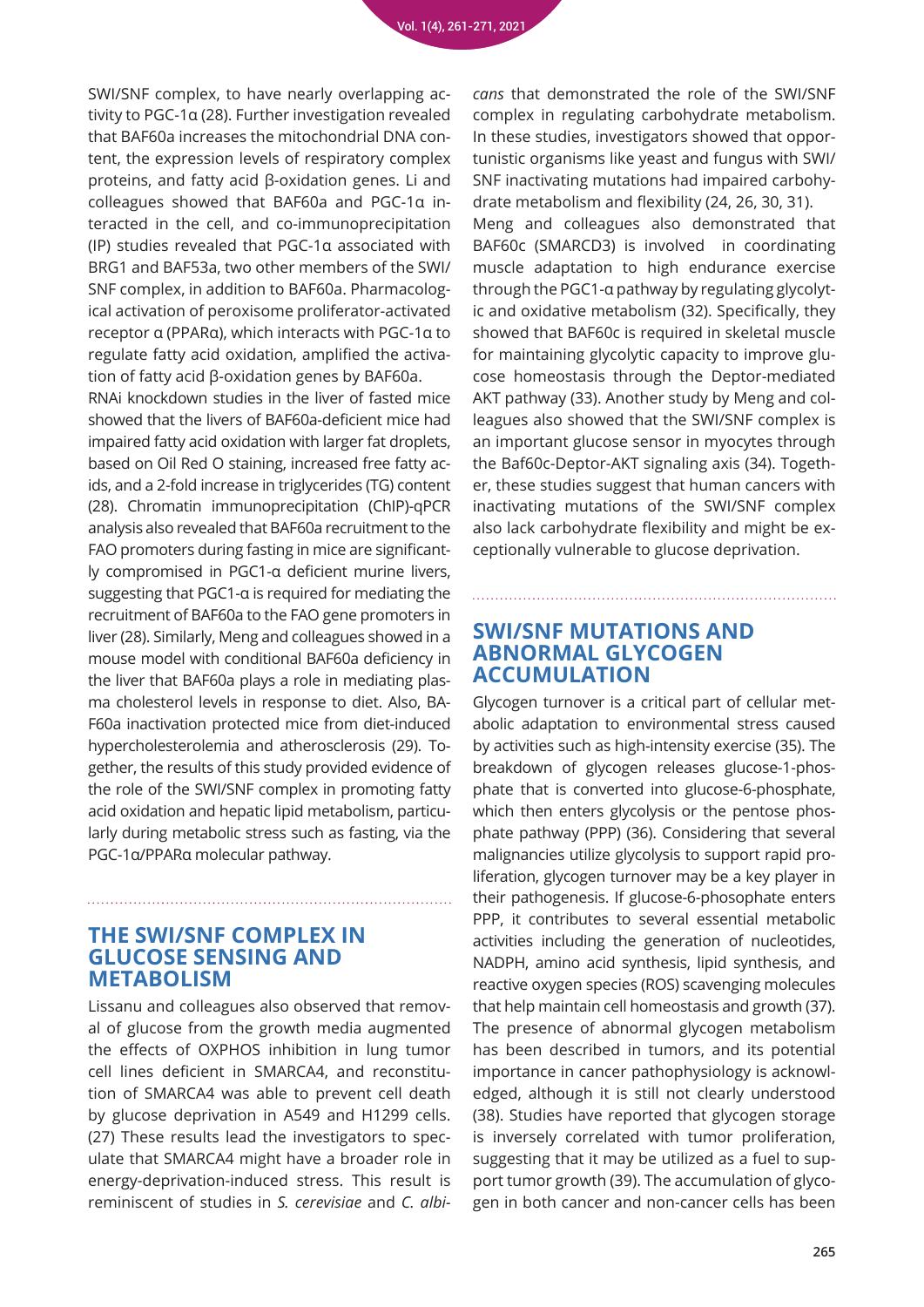SWI/SNF complex, to have nearly overlapping activity to PGC-1α (28). Further investigation revealed that BAF60a increases the mitochondrial DNA content, the expression levels of respiratory complex proteins, and fatty acid β-oxidation genes. Li and colleagues showed that BAF60a and PGC-1α interacted in the cell, and co-immunoprecipitation (IP) studies revealed that PGC-1α associated with BRG1 and BAF53a, two other members of the SWI/ SNF complex, in addition to BAF60a. Pharmacological activation of peroxisome proliferator-activated receptor α (PPARα), which interacts with PGC-1α to regulate fatty acid oxidation, amplified the activation of fatty acid β-oxidation genes by BAF60a.

RNAi knockdown studies in the liver of fasted mice showed that the livers of BAF60a-deficient mice had impaired fatty acid oxidation with larger fat droplets, based on Oil Red O staining, increased free fatty acids, and a 2-fold increase in triglycerides (TG) content (28). Chromatin immunoprecipitation (ChIP)-qPCR analysis also revealed that BAF60a recruitment to the FAO promoters during fasting in mice are significantly compromised in PGC1-α deficient murine livers, suggesting that PGC1-α is required for mediating the recruitment of BAF60a to the FAO gene promoters in liver (28). Similarly, Meng and colleagues showed in a mouse model with conditional BAF60a deficiency in the liver that BAF60a plays a role in mediating plasma cholesterol levels in response to diet. Also, BA-F60a inactivation protected mice from diet-induced hypercholesterolemia and atherosclerosis (29). Together, the results of this study provided evidence of the role of the SWI/SNF complex in promoting fatty acid oxidation and hepatic lipid metabolism, particularly during metabolic stress such as fasting, via the PGC-1α/PPARα molecular pathway.

#### **THE SWI/SNF COMPLEX IN GLUCOSE SENSING AND METABOLISM**

Lissanu and colleagues also observed that removal of glucose from the growth media augmented the effects of OXPHOS inhibition in lung tumor cell lines deficient in SMARCA4, and reconstitution of SMARCA4 was able to prevent cell death by glucose deprivation in A549 and H1299 cells. (27) These results lead the investigators to speculate that SMARCA4 might have a broader role in energy-deprivation-induced stress. This result is reminiscent of studies in *S. cerevisiae* and *C. albi-*

*cans* that demonstrated the role of the SWI/SNF complex in regulating carbohydrate metabolism. In these studies, investigators showed that opportunistic organisms like yeast and fungus with SWI/ SNF inactivating mutations had impaired carbohydrate metabolism and flexibility (24, 26, 30, 31).

Meng and colleagues also demonstrated that BAF60c (SMARCD3) is involved in coordinating muscle adaptation to high endurance exercise through the PGC1-α pathway by regulating glycolytic and oxidative metabolism (32). Specifically, they showed that BAF60c is required in skeletal muscle for maintaining glycolytic capacity to improve glucose homeostasis through the Deptor-mediated AKT pathway (33). Another study by Meng and colleagues also showed that the SWI/SNF complex is an important glucose sensor in myocytes through the Baf60c-Deptor-AKT signaling axis (34). Together, these studies suggest that human cancers with inactivating mutations of the SWI/SNF complex also lack carbohydrate flexibility and might be exceptionally vulnerable to glucose deprivation.

#### **SWI/SNF MUTATIONS AND ABNORMAL GLYCOGEN ACCUMULATION**

Glycogen turnover is a critical part of cellular metabolic adaptation to environmental stress caused by activities such as high-intensity exercise (35). The breakdown of glycogen releases glucose-1-phosphate that is converted into glucose-6-phosphate, which then enters glycolysis or the pentose phosphate pathway (PPP) (36). Considering that several malignancies utilize glycolysis to support rapid proliferation, glycogen turnover may be a key player in their pathogenesis. If glucose-6-phosophate enters PPP, it contributes to several essential metabolic activities including the generation of nucleotides, NADPH, amino acid synthesis, lipid synthesis, and reactive oxygen species (ROS) scavenging molecules that help maintain cell homeostasis and growth (37). The presence of abnormal glycogen metabolism has been described in tumors, and its potential importance in cancer pathophysiology is acknowledged, although it is still not clearly understood (38). Studies have reported that glycogen storage is inversely correlated with tumor proliferation, suggesting that it may be utilized as a fuel to support tumor growth (39). The accumulation of glycogen in both cancer and non-cancer cells has been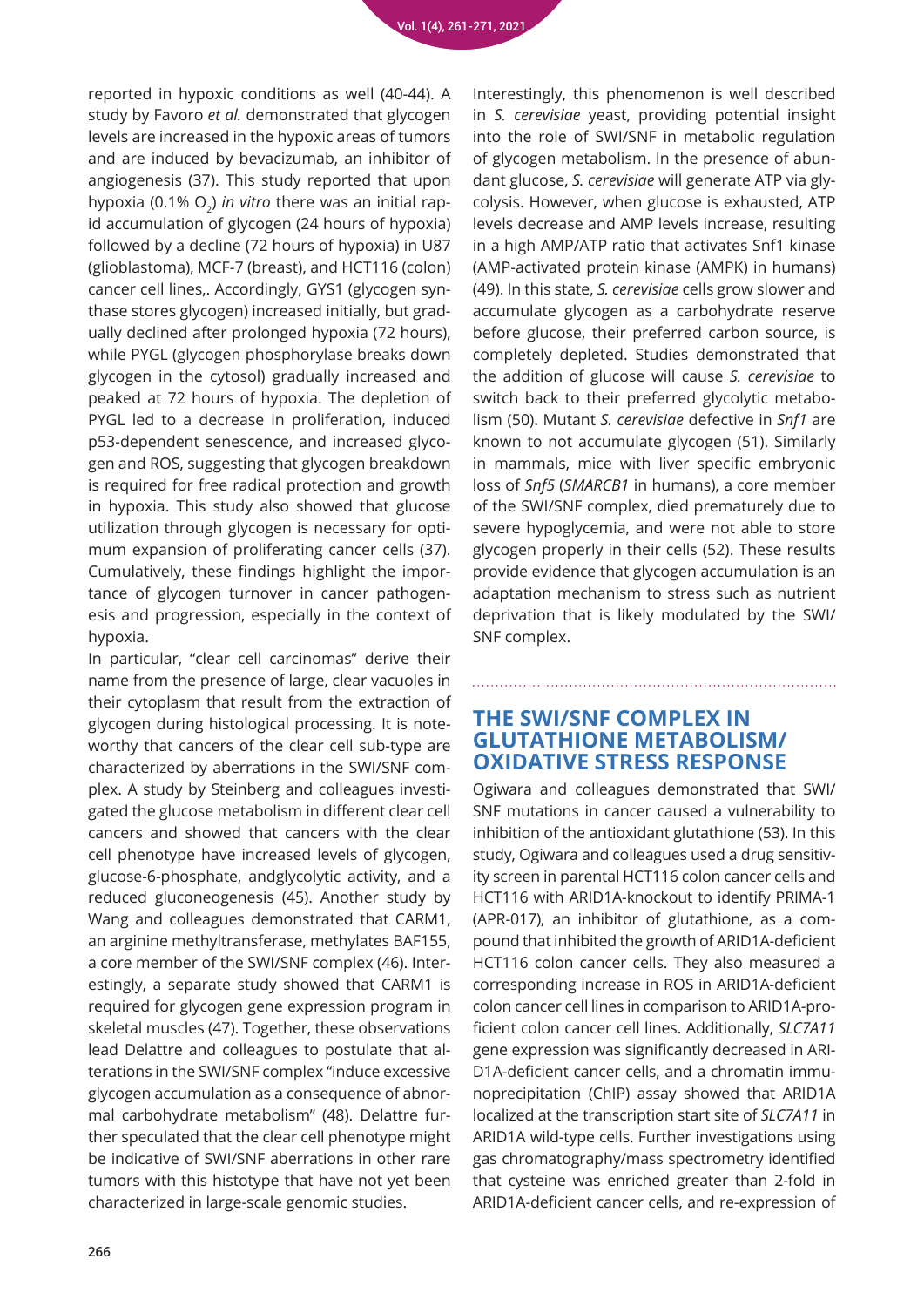reported in hypoxic conditions as well (40-44). A study by Favoro *et al.* demonstrated that glycogen levels are increased in the hypoxic areas of tumors and are induced by bevacizumab, an inhibitor of angiogenesis (37). This study reported that upon hypoxia (0.1% O<sub>2</sub>) *in vitro* there was an initial rapid accumulation of glycogen (24 hours of hypoxia) followed by a decline (72 hours of hypoxia) in U87 (glioblastoma), MCF-7 (breast), and HCT116 (colon) cancer cell lines,. Accordingly, GYS1 (glycogen synthase stores glycogen) increased initially, but gradually declined after prolonged hypoxia (72 hours), while PYGL (glycogen phosphorylase breaks down glycogen in the cytosol) gradually increased and peaked at 72 hours of hypoxia. The depletion of PYGL led to a decrease in proliferation, induced p53-dependent senescence, and increased glycogen and ROS, suggesting that glycogen breakdown is required for free radical protection and growth in hypoxia. This study also showed that glucose utilization through glycogen is necessary for optimum expansion of proliferating cancer cells (37). Cumulatively, these findings highlight the importance of glycogen turnover in cancer pathogenesis and progression, especially in the context of hypoxia.

In particular, "clear cell carcinomas" derive their name from the presence of large, clear vacuoles in their cytoplasm that result from the extraction of glycogen during histological processing. It is noteworthy that cancers of the clear cell sub-type are characterized by aberrations in the SWI/SNF complex. A study by Steinberg and colleagues investigated the glucose metabolism in different clear cell cancers and showed that cancers with the clear cell phenotype have increased levels of glycogen, glucose-6-phosphate, andglycolytic activity, and a reduced gluconeogenesis (45). Another study by Wang and colleagues demonstrated that CARM1, an arginine methyltransferase, methylates BAF155, a core member of the SWI/SNF complex (46). Interestingly, a separate study showed that CARM1 is required for glycogen gene expression program in skeletal muscles (47). Together, these observations lead Delattre and colleagues to postulate that alterations in the SWI/SNF complex "induce excessive glycogen accumulation as a consequence of abnormal carbohydrate metabolism" (48). Delattre further speculated that the clear cell phenotype might be indicative of SWI/SNF aberrations in other rare tumors with this histotype that have not yet been characterized in large-scale genomic studies.

Interestingly, this phenomenon is well described in *S. cerevisiae* yeast, providing potential insight into the role of SWI/SNF in metabolic regulation of glycogen metabolism. In the presence of abundant glucose, *S. cerevisiae* will generate ATP via glycolysis. However, when glucose is exhausted, ATP levels decrease and AMP levels increase, resulting in a high AMP/ATP ratio that activates Snf1 kinase (AMP-activated protein kinase (AMPK) in humans) (49). In this state, *S. cerevisiae* cells grow slower and accumulate glycogen as a carbohydrate reserve before glucose, their preferred carbon source, is completely depleted. Studies demonstrated that the addition of glucose will cause *S. cerevisiae* to switch back to their preferred glycolytic metabolism (50). Mutant *S. cerevisiae* defective in *Snf1* are known to not accumulate glycogen (51). Similarly in mammals, mice with liver specific embryonic loss of *Snf5* (*SMARCB1* in humans), a core member of the SWI/SNF complex, died prematurely due to severe hypoglycemia, and were not able to store glycogen properly in their cells (52). These results provide evidence that glycogen accumulation is an adaptation mechanism to stress such as nutrient deprivation that is likely modulated by the SWI/ SNF complex.

#### **THE SWI/SNF COMPLEX IN GLUTATHIONE METABOLISM/ OXIDATIVE STRESS RESPONSE**

Ogiwara and colleagues demonstrated that SWI/ SNF mutations in cancer caused a vulnerability to inhibition of the antioxidant glutathione (53). In this study, Ogiwara and colleagues used a drug sensitivity screen in parental HCT116 colon cancer cells and HCT116 with ARID1A-knockout to identify PRIMA-1 (APR-017), an inhibitor of glutathione, as a compound that inhibited the growth of ARID1A-deficient HCT116 colon cancer cells. They also measured a corresponding increase in ROS in ARID1A-deficient colon cancer cell lines in comparison to ARID1A-proficient colon cancer cell lines. Additionally, *SLC7A11* gene expression was significantly decreased in ARI-D1A-deficient cancer cells, and a chromatin immunoprecipitation (ChIP) assay showed that ARID1A localized at the transcription start site of *SLC7A11* in ARID1A wild-type cells. Further investigations using gas chromatography/mass spectrometry identified that cysteine was enriched greater than 2-fold in ARID1A-deficient cancer cells, and re-expression of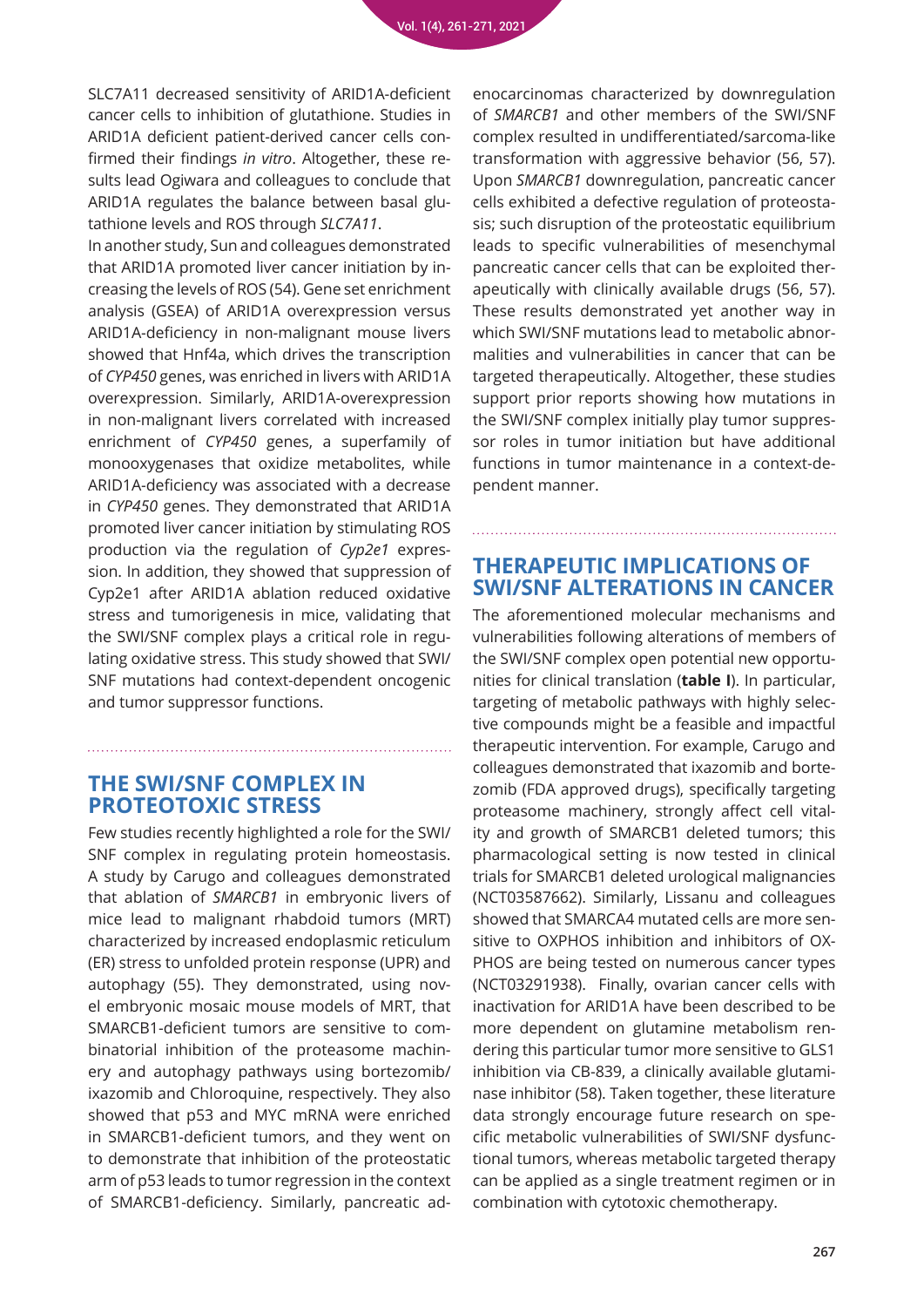SLC7A11 decreased sensitivity of ARID1A-deficient cancer cells to inhibition of glutathione. Studies in ARID1A deficient patient-derived cancer cells confirmed their findings *in vitro*. Altogether, these results lead Ogiwara and colleagues to conclude that ARID1A regulates the balance between basal glutathione levels and ROS through *SLC7A11*.

In another study, Sun and colleagues demonstrated that ARID1A promoted liver cancer initiation by increasing the levels of ROS (54). Gene set enrichment analysis (GSEA) of ARID1A overexpression versus ARID1A-deficiency in non-malignant mouse livers showed that Hnf4a, which drives the transcription of *CYP450* genes, was enriched in livers with ARID1A overexpression. Similarly, ARID1A-overexpression in non-malignant livers correlated with increased enrichment of *CYP450* genes, a superfamily of monooxygenases that oxidize metabolites, while ARID1A-deficiency was associated with a decrease in *CYP450* genes. They demonstrated that ARID1A promoted liver cancer initiation by stimulating ROS production via the regulation of *Cyp2e1* expression. In addition, they showed that suppression of Cyp2e1 after ARID1A ablation reduced oxidative stress and tumorigenesis in mice, validating that the SWI/SNF complex plays a critical role in regulating oxidative stress. This study showed that SWI/ SNF mutations had context-dependent oncogenic and tumor suppressor functions.

#### **THE SWI/SNF COMPLEX IN PROTEOTOXIC STRESS**

Few studies recently highlighted a role for the SWI/ SNF complex in regulating protein homeostasis. A study by Carugo and colleagues demonstrated that ablation of *SMARCB1* in embryonic livers of mice lead to malignant rhabdoid tumors (MRT) characterized by increased endoplasmic reticulum (ER) stress to unfolded protein response (UPR) and autophagy (55). They demonstrated, using novel embryonic mosaic mouse models of MRT, that SMARCB1-deficient tumors are sensitive to combinatorial inhibition of the proteasome machinery and autophagy pathways using bortezomib/ ixazomib and Chloroquine, respectively. They also showed that p53 and MYC mRNA were enriched in SMARCB1-deficient tumors, and they went on to demonstrate that inhibition of the proteostatic arm of p53 leads to tumor regression in the context of SMARCB1-deficiency. Similarly, pancreatic ad-

enocarcinomas characterized by downregulation of *SMARCB1* and other members of the SWI/SNF complex resulted in undifferentiated/sarcoma-like transformation with aggressive behavior (56, 57). Upon *SMARCB1* downregulation, pancreatic cancer cells exhibited a defective regulation of proteostasis; such disruption of the proteostatic equilibrium leads to specific vulnerabilities of mesenchymal pancreatic cancer cells that can be exploited therapeutically with clinically available drugs (56, 57). These results demonstrated yet another way in which SWI/SNF mutations lead to metabolic abnormalities and vulnerabilities in cancer that can be targeted therapeutically. Altogether, these studies support prior reports showing how mutations in the SWI/SNF complex initially play tumor suppressor roles in tumor initiation but have additional functions in tumor maintenance in a context-dependent manner.

#### **THERAPEUTIC IMPLICATIONS OF SWI/SNF ALTERATIONS IN CANCER**

The aforementioned molecular mechanisms and vulnerabilities following alterations of members of the SWI/SNF complex open potential new opportunities for clinical translation (**table I**). In particular, targeting of metabolic pathways with highly selective compounds might be a feasible and impactful therapeutic intervention. For example, Carugo and colleagues demonstrated that ixazomib and bortezomib (FDA approved drugs), specifically targeting proteasome machinery, strongly affect cell vitality and growth of SMARCB1 deleted tumors; this pharmacological setting is now tested in clinical trials for SMARCB1 deleted urological malignancies (NCT03587662). Similarly, Lissanu and colleagues showed that SMARCA4 mutated cells are more sensitive to OXPHOS inhibition and inhibitors of OX-PHOS are being tested on numerous cancer types (NCT03291938). Finally, ovarian cancer cells with inactivation for ARID1A have been described to be more dependent on glutamine metabolism rendering this particular tumor more sensitive to GLS1 inhibition via CB-839, a clinically available glutaminase inhibitor (58). Taken together, these literature data strongly encourage future research on specific metabolic vulnerabilities of SWI/SNF dysfunctional tumors, whereas metabolic targeted therapy can be applied as a single treatment regimen or in combination with cytotoxic chemotherapy.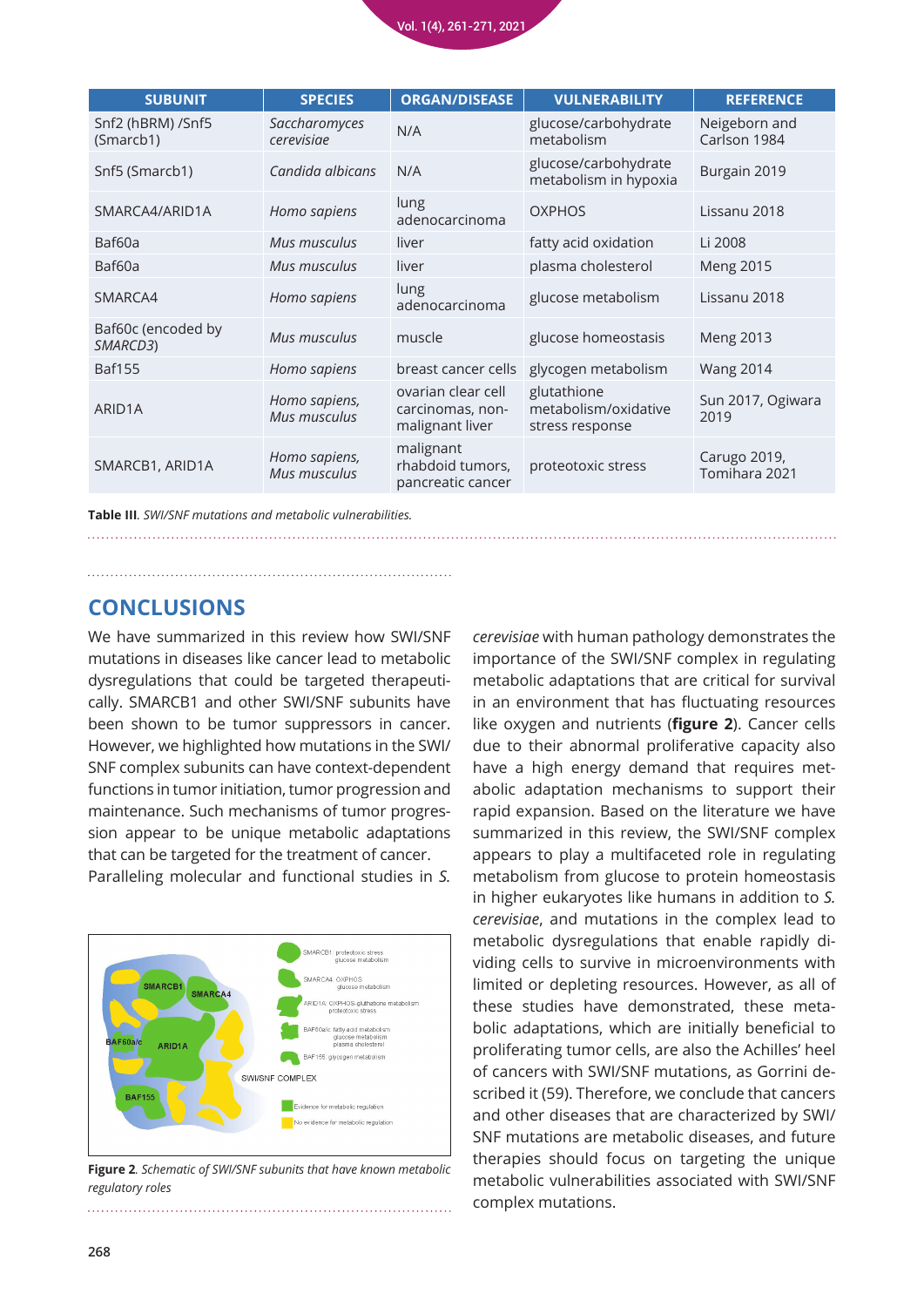

| <b>SUBUNIT</b>                 | <b>SPECIES</b>                | <b>ORGAN/DISEASE</b>                                      | <b>VULNERABILITY</b>                                   | <b>REFERENCE</b>              |
|--------------------------------|-------------------------------|-----------------------------------------------------------|--------------------------------------------------------|-------------------------------|
| Snf2 (hBRM) /Snf5<br>(Smarcb1) | Saccharomyces<br>cerevisiae   | N/A                                                       | glucose/carbohydrate<br>metabolism                     | Neigeborn and<br>Carlson 1984 |
| Snf5 (Smarcb1)                 | Candida albicans              | N/A                                                       | glucose/carbohydrate<br>metabolism in hypoxia          | Burgain 2019                  |
| SMARCA4/ARID1A                 | Homo sapiens                  | lung<br>adenocarcinoma                                    | <b>OXPHOS</b>                                          | Lissanu 2018                  |
| Baf60a                         | Mus musculus                  | liver                                                     | fatty acid oxidation                                   | Li 2008                       |
| Baf60a                         | Mus musculus                  | liver                                                     | plasma cholesterol                                     | <b>Meng 2015</b>              |
| SMARCA4                        | Homo sapiens                  | lung<br>adenocarcinoma                                    | glucose metabolism                                     | Lissanu 2018                  |
| Baf60c (encoded by<br>SMARCD3) | Mus musculus                  | muscle                                                    | glucose homeostasis                                    | <b>Meng 2013</b>              |
| <b>Baf155</b>                  | Homo sapiens                  | breast cancer cells                                       | glycogen metabolism                                    | <b>Wang 2014</b>              |
| ARID1A                         | Homo sapiens,<br>Mus musculus | ovarian clear cell<br>carcinomas, non-<br>malignant liver | glutathione<br>metabolism/oxidative<br>stress response | Sun 2017, Ogiwara<br>2019     |
| SMARCB1, ARID1A                | Homo sapiens,<br>Mus musculus | malignant<br>rhabdoid tumors,<br>pancreatic cancer        | proteotoxic stress                                     | Carugo 2019,<br>Tomihara 2021 |

**Table III***. SWI/SNF mutations and metabolic vulnerabilities.* 

#### **CONCLUSIONS**

We have summarized in this review how SWI/SNF mutations in diseases like cancer lead to metabolic dysregulations that could be targeted therapeutically. SMARCB1 and other SWI/SNF subunits have been shown to be tumor suppressors in cancer. However, we highlighted how mutations in the SWI/ SNF complex subunits can have context-dependent functions in tumor initiation, tumor progression and maintenance. Such mechanisms of tumor progression appear to be unique metabolic adaptations that can be targeted for the treatment of cancer.

Paralleling molecular and functional studies in *S.* 



**Figure 2***. Schematic of SWI/SNF subunits that have known metabolic regulatory roles*

*cerevisiae* with human pathology demonstrates the importance of the SWI/SNF complex in regulating metabolic adaptations that are critical for survival in an environment that has fluctuating resources like oxygen and nutrients (**figure 2**). Cancer cells due to their abnormal proliferative capacity also have a high energy demand that requires metabolic adaptation mechanisms to support their rapid expansion. Based on the literature we have summarized in this review, the SWI/SNF complex appears to play a multifaceted role in regulating metabolism from glucose to protein homeostasis in higher eukaryotes like humans in addition to *S. cerevisiae*, and mutations in the complex lead to metabolic dysregulations that enable rapidly dividing cells to survive in microenvironments with limited or depleting resources. However, as all of these studies have demonstrated, these metabolic adaptations, which are initially beneficial to proliferating tumor cells, are also the Achilles' heel of cancers with SWI/SNF mutations, as Gorrini described it (59). Therefore, we conclude that cancers and other diseases that are characterized by SWI/ SNF mutations are metabolic diseases, and future therapies should focus on targeting the unique metabolic vulnerabilities associated with SWI/SNF complex mutations.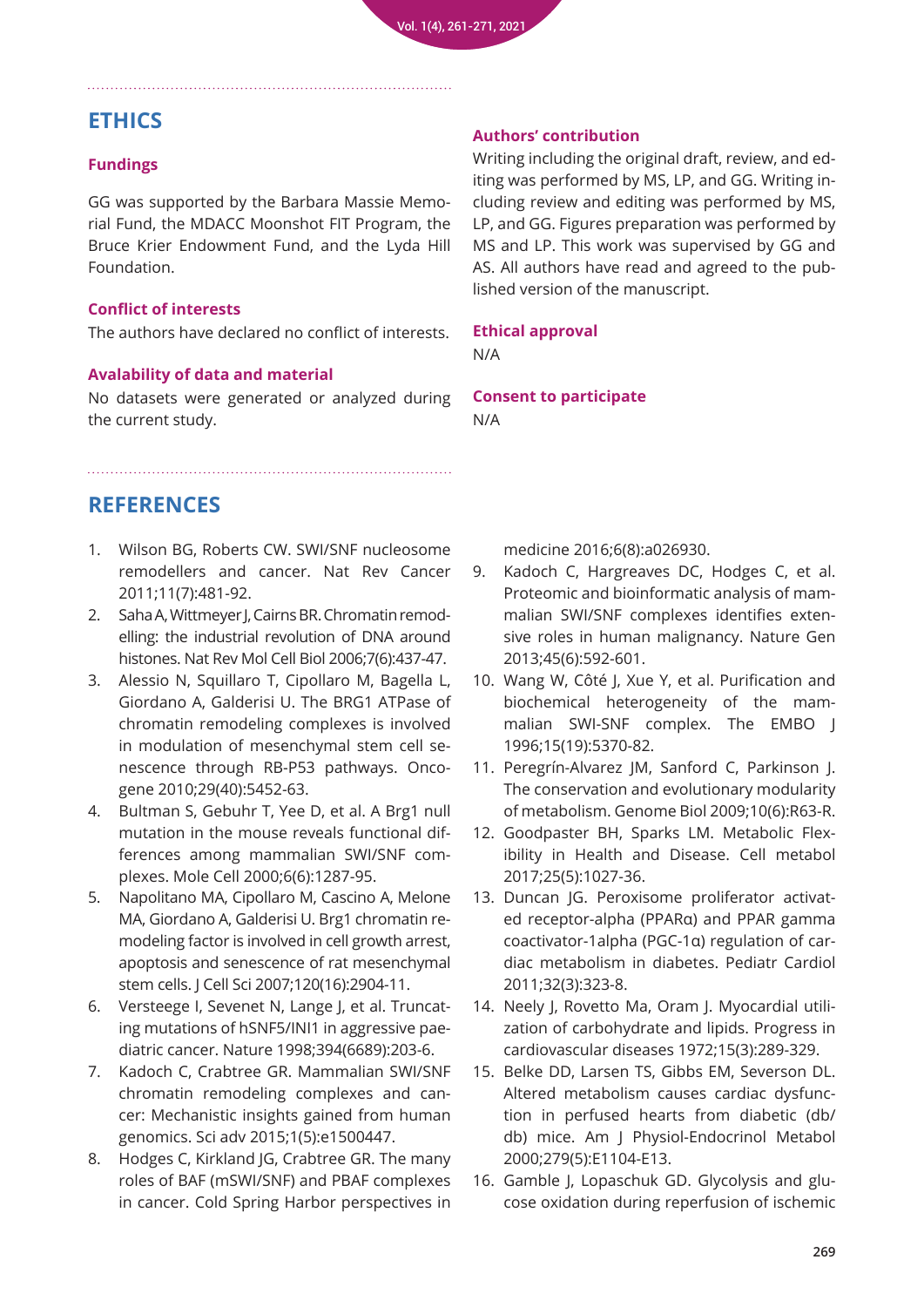## **ETHICS**

#### **Fundings**

GG was supported by the Barbara Massie Memorial Fund, the MDACC Moonshot FIT Program, the Bruce Krier Endowment Fund, and the Lyda Hill Foundation.

#### **Conflict of interests**

The authors have declared no conflict of interests.

#### **Avalability of data and material**

No datasets were generated or analyzed during the current study.

#### **Authors' contribution**

Writing including the original draft, review, and editing was performed by MS, LP, and GG. Writing including review and editing was performed by MS, LP, and GG. Figures preparation was performed by MS and LP. This work was supervised by GG and AS. All authors have read and agreed to the published version of the manuscript.

#### **Ethical approval**

N/A

**Consent to participate** N/A

## **REFERENCES**

- 1. [Wilson BG, Roberts CW. SWI/SNF nucleosome](https://pubmed.ncbi.nlm.nih.gov/21654818/)  remodellers and cancer. Nat Rev Cancer 2011;11(7):481-92.
- 2. Saha A, Wittmeyer J, Cairns BR. Chromatin remod[elling: the industrial revolution of DNA around](https://pubmed.ncbi.nlm.nih.gov/16723979/)  histones. Nat Rev Mol Cell Biol 2006;7(6):437-47.
- 3. [Alessio N, Squillaro T, Cipollaro M, Bagella L,](https://pubmed.ncbi.nlm.nih.gov/20697355/)  Giordano A, Galderisi U. The BRG1 ATPase of chromatin remodeling complexes is involved in modulation of mesenchymal stem cell senescence through RB-P53 pathways. Oncogene 2010;29(40):5452-63.
- 4. [Bultman S, Gebuhr T, Yee D, et al. A Brg1 null](https://pubmed.ncbi.nlm.nih.gov/11163203/)  mutation in the mouse reveals functional differences among mammalian SWI/SNF complexes. Mole Cell 2000;6(6):1287-95.
- 5. [Napolitano MA, Cipollaro M, Cascino A, Melone](https://pubmed.ncbi.nlm.nih.gov/17666433/)  MA, Giordano A, Galderisi U. Brg1 chromatin remodeling factor is involved in cell growth arrest, apoptosis and senescence of rat mesenchymal stem cells. J Cell Sci 2007;120(16):2904-11.
- 6. Versteege I, Sevenet N, Lange J, et al. Truncat[ing mutations of hSNF5/INI1 in aggressive pae](https://pubmed.ncbi.nlm.nih.gov/9671307/)diatric cancer. Nature 1998;394(6689):203-6.
- 7. [Kadoch C, Crabtree GR. Mammalian SWI/SNF](https://pubmed.ncbi.nlm.nih.gov/26601204/)  chromatin remodeling complexes and cancer: Mechanistic insights gained from human genomics. Sci adv 2015;1(5):e1500447.
- 8. [Hodges C, Kirkland JG, Crabtree GR. The many](https://pubmed.ncbi.nlm.nih.gov/27413115/)  roles of BAF (mSWI/SNF) and PBAF complexes in cancer. Cold Spring Harbor perspectives in

[medicine 2016;6\(8\):a026930.](https://pubmed.ncbi.nlm.nih.gov/27413115/)

- 9. [Kadoch C, Hargreaves DC, Hodges C, et al.](https://pubmed.ncbi.nlm.nih.gov/23644491/)  Proteomic and bioinformatic analysis of mammalian SWI/SNF complexes identifies extensive roles in human malignancy. Nature Gen 2013;45(6):592-601.
- 10. [Wang W, Côté J, Xue Y, et al. Purification and](https://pubmed.ncbi.nlm.nih.gov/8895581/)  biochemical heterogeneity of the mammalian SWI-SNF complex. The EMBO J 1996;15(19):5370-82.
- 11. [Peregrín-Alvarez JM, Sanford C, Parkinson J.](https://pubmed.ncbi.nlm.nih.gov/19523219/)  The conservation and evolutionary modularity of metabolism. Genome Biol 2009;10(6):R63-R.
- 12. Goodpaster BH, Sparks LM. Metabolic Flex[ibility in Health and Disease. Cell metabol](https://pubmed.ncbi.nlm.nih.gov/28467922/)  2017;25(5):1027-36.
- 13. Duncan JG. Peroxisome proliferator activat[ed receptor-alpha \(PPARα\) and PPAR gamma](https://pubmed.ncbi.nlm.nih.gov/21286700/)  coactivator-1alpha (PGC-1α) regulation of cardiac metabolism in diabetes. Pediatr Cardiol 2011;32(3):323-8.
- 14. Neely J, Rovetto Ma, Oram J. Myocardial utili[zation of carbohydrate and lipids. Progress in](https://pubmed.ncbi.nlm.nih.gov/4564017/)  cardiovascular diseases 1972;15(3):289-329.
- 15. [Belke DD, Larsen TS, Gibbs EM, Severson DL.](https://pubmed.ncbi.nlm.nih.gov/11052966/)  Altered metabolism causes cardiac dysfunction in perfused hearts from diabetic (db/ db) mice. Am J Physiol-Endocrinol Metabol 2000;279(5):E1104-E13.
- 16. Gamble J, Lopaschuk GD. Glycolysis and glu[cose oxidation during reperfusion of ischemic](https://pubmed.ncbi.nlm.nih.gov/8280788/)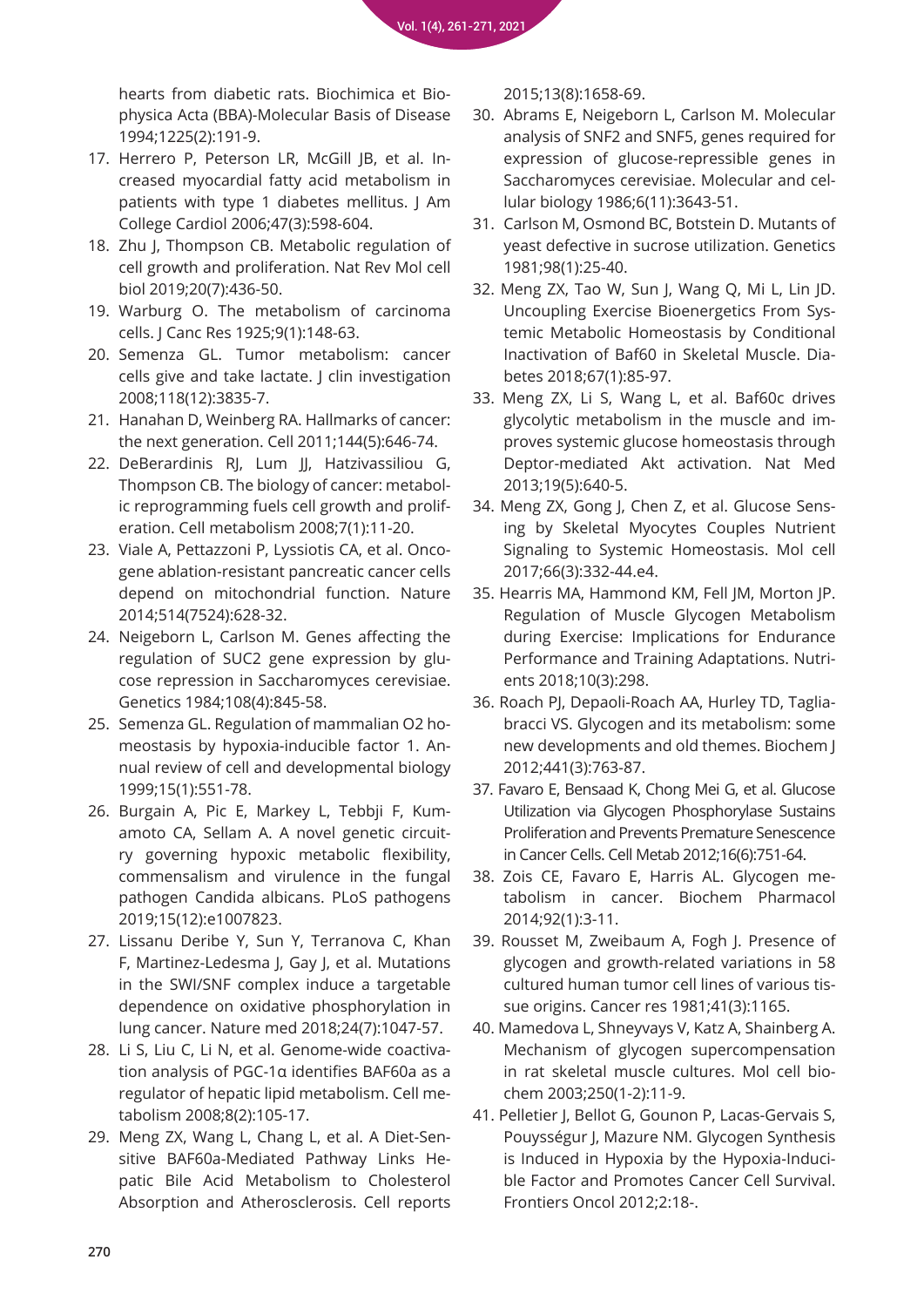hearts from diabetic rats. Biochimica et Bio[physica Acta \(BBA\)-Molecular Basis of Disease](https://pubmed.ncbi.nlm.nih.gov/8280788/)  1994;1225(2):191-9.

- 17. Herrero P, Peterson LR, McGill JB, et al. In[creased myocardial fatty acid metabolism in](https://pubmed.ncbi.nlm.nih.gov/16458143/)  patients with type 1 diabetes mellitus. J Am College Cardiol 2006;47(3):598-604.
- 18. [Zhu J, Thompson CB. Metabolic regulation of](https://pubmed.ncbi.nlm.nih.gov/30976106/)  cell growth and proliferation. Nat Rev Mol cell biol 2019;20(7):436-50.
- 19. [Warburg O. The metabolism of carcinoma](https://www.semanticscholar.org/paper/The-Metabolism-of-Carcinoma-Cells-Warburg/323780a8a4e4b0957d50412bdd1a1e95bfde6ce1)  cells. J Canc Res 1925;9(1):148-63.
- 20. [Semenza GL. Tumor metabolism: cancer](https://pubmed.ncbi.nlm.nih.gov/19033652/)  cells give and take lactate. J clin investigation 2008;118(12):3835-7.
- 21. [Hanahan D, Weinberg RA. Hallmarks of cancer:](https://pubmed.ncbi.nlm.nih.gov/21376230/)  the next generation. Cell 2011;144(5):646-74.
- 22. DeBerardinis RJ, Lum JJ, Hatzivassiliou G, Thompson CB. The biology of cancer: metabolic reprogramming fuels cell growth and proliferation. Cell metabolism 2008;7(1):11-20.
- 23. Viale A, Pettazzoni P, Lyssiotis CA, et al. Onco[gene ablation-resistant pancreatic cancer cells](https://pubmed.ncbi.nlm.nih.gov/25119024/)  depend on mitochondrial function. Nature 2014;514(7524):628-32.
- 24. [Neigeborn L, Carlson M. Genes affecting the](https://pubmed.ncbi.nlm.nih.gov/6392017/)  regulation of SUC2 gene expression by glucose repression in Saccharomyces cerevisiae. Genetics 1984;108(4):845-58.
- 25. Semenza GL. Regulation of mammalian O2 homeostasis by hypoxia-inducible factor 1. An[nual review of cell and developmental biology](https://pubmed.ncbi.nlm.nih.gov/10611972/)  1999;15(1):551-78.
- 26. Burgain A, Pic E, Markey L, Tebbji F, Kumamoto CA, Sellam A. A novel genetic circuit[ry governing hypoxic metabolic flexibility,](https://pubmed.ncbi.nlm.nih.gov/31809527/)  commensalism and virulence in the fungal pathogen Candida albicans. PLoS pathogens 2019;15(12):e1007823.
- 27. [Lissanu Deribe Y, Sun Y, Terranova C, Khan](https://pubmed.ncbi.nlm.nih.gov/29892061/)  F, Martinez-Ledesma J, Gay J, et al. Mutations in the SWI/SNF complex induce a targetable dependence on oxidative phosphorylation in lung cancer. Nature med 2018;24(7):1047-57.
- 28. Li S, Liu C, Li N, et al. Genome-wide coactiva[tion analysis of PGC-1α identifies BAF60a as a](https://pubmed.ncbi.nlm.nih.gov/18680712/)  regulator of hepatic lipid metabolism. Cell metabolism 2008;8(2):105-17.
- 29. Meng ZX, Wang L, Chang L, et al. A Diet-Sensitive BAF60a-Mediated Pathway Links He[patic Bile Acid Metabolism to Cholesterol](https://pubmed.ncbi.nlm.nih.gov/26586440/)  Absorption and Atherosclerosis. Cell reports

[2015;13\(8\):1658-69.](https://pubmed.ncbi.nlm.nih.gov/26586440/)

- 30. [Abrams E, Neigeborn L, Carlson M. Molecular](https://pubmed.ncbi.nlm.nih.gov/3540598/)  analysis of SNF2 and SNF5, genes required for expression of glucose-repressible genes in Saccharomyces cerevisiae. Molecular and cellular biology 1986;6(11):3643-51.
- 31. [Carlson M, Osmond BC, Botstein D. Mutants of](https://pubmed.ncbi.nlm.nih.gov/7040163/)  yeast defective in sucrose utilization. Genetics 1981;98(1):25-40.
- 32. [Meng ZX, Tao W, Sun J, Wang Q, Mi L, Lin JD.](https://pubmed.ncbi.nlm.nih.gov/29092888/)  Uncoupling Exercise Bioenergetics From Systemic Metabolic Homeostasis by Conditional Inactivation of Baf60 in Skeletal Muscle. Diabetes 2018;67(1):85-97.
- 33. [Meng ZX, Li S, Wang L, et al. Baf60c drives](https://pubmed.ncbi.nlm.nih.gov/23563706/)  glycolytic metabolism in the muscle and improves systemic glucose homeostasis through Deptor-mediated Akt activation. Nat Med 2013;19(5):640-5.
- 34. [Meng ZX, Gong J, Chen Z, et al. Glucose Sens](https://pubmed.ncbi.nlm.nih.gov/28475869/)ing by Skeletal Myocytes Couples Nutrient Signaling to Systemic Homeostasis. Mol cell 2017;66(3):332-44.e4.
- 35. [Hearris MA, Hammond KM, Fell JM, Morton JP.](https://pubmed.ncbi.nlm.nih.gov/29498691/)  Regulation of Muscle Glycogen Metabolism during Exercise: Implications for Endurance Performance and Training Adaptations. Nutrients 2018;10(3):298.
- 36. [Roach PJ, Depaoli-Roach AA, Hurley TD, Taglia](https://pubmed.ncbi.nlm.nih.gov/22248338/)bracci VS. Glycogen and its metabolism: some new developments and old themes. Biochem J 2012;441(3):763-87.
- 37. [Favaro E, Bensaad K, Chong Mei G, et al. Glucose](https://pubmed.ncbi.nlm.nih.gov/23177934/)  Utilization via Glycogen Phosphorylase Sustains Proliferation and Prevents Premature Senescence in Cancer Cells. Cell Metab 2012;16(6):751-64.
- 38. [Zois CE, Favaro E, Harris AL. Glycogen me](https://pubmed.ncbi.nlm.nih.gov/25219323/)tabolism in cancer. Biochem Pharmacol 2014;92(1):3-11.
- 39. [Rousset M, Zweibaum A, Fogh J. Presence of](https://pubmed.ncbi.nlm.nih.gov/7459858/)  glycogen and growth-related variations in 58 cultured human tumor cell lines of various tissue origins. Cancer res 1981;41(3):1165.
- 40. [Mamedova L, Shneyvays V, Katz A, Shainberg A.](https://pubmed.ncbi.nlm.nih.gov/12962138/)  Mechanism of glycogen supercompensation in rat skeletal muscle cultures. Mol cell biochem 2003;250(1-2):11-9.
- 41. Pelletier J, Bellot G, Gounon P, Lacas-Gervais S, Pouysségur J, Mazure NM. Glycogen Synthesis is Induced in Hypoxia by the Hypoxia-Inducible Factor and Promotes Cancer Cell Survival. Frontiers Oncol 2012;2:18-.